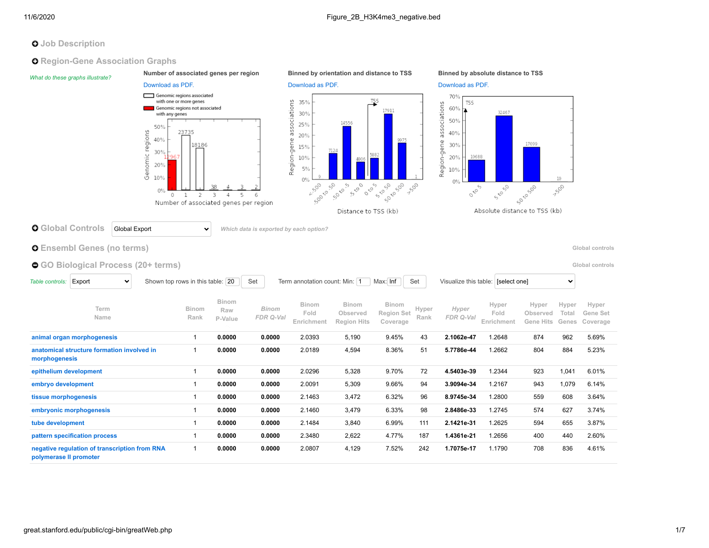# **O** Job Description

**Q** Region-Gene Association Graphs

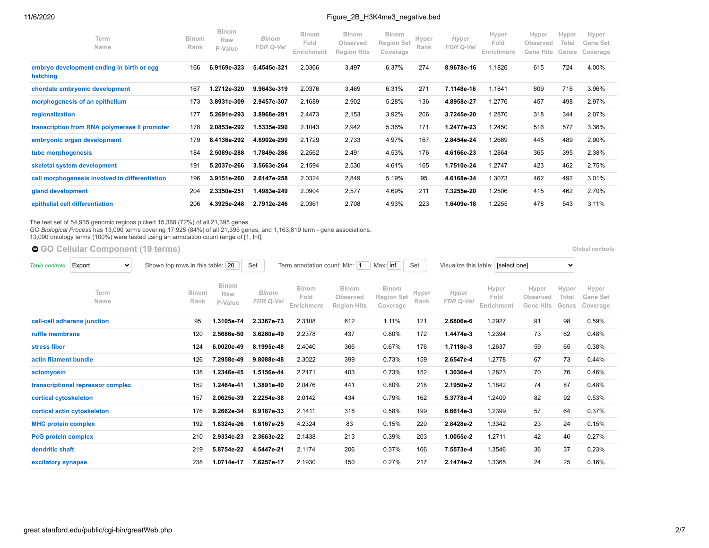| Term<br>Name                                          | <b>Binom</b><br>Rank | <b>Binom</b><br>Raw<br>P-Value | <b>Binom</b><br>FDR Q-Val | <b>Binom</b><br>Fold<br>Enrichment | <b>Binom</b><br>Observed<br><b>Region Hits</b> | <b>Binom</b><br><b>Region Set</b><br>Coverage | Hyper<br>Rank | Hyper<br>FDR Q-Val | Hyper<br>Fold<br>Enrichment | Hyper<br>Observed<br><b>Gene Hits</b> | Hyper<br>Total<br>Genes | Hyper<br>Gene Set<br>Coverage |
|-------------------------------------------------------|----------------------|--------------------------------|---------------------------|------------------------------------|------------------------------------------------|-----------------------------------------------|---------------|--------------------|-----------------------------|---------------------------------------|-------------------------|-------------------------------|
| embryo development ending in birth or egg<br>hatching | 166                  | 6.9169e-323                    | 5.4545e-321               | 2.0366                             | 3,497                                          | 6.37%                                         | 274           | 8.9678e-16         | 1.1826                      | 615                                   | 724                     | 4.00%                         |
| chordate embryonic development                        | 167                  | 1.2712e-320                    | 9.9643e-319               | 2.0376                             | 3,469                                          | 6.31%                                         | 271           | 7.1148e-16         | 1.1841                      | 609                                   | 716                     | 3.96%                         |
| morphogenesis of an epithelium                        | 173                  | 3.8931e-309                    | 2.9457e-307               | 2.1689                             | 2,902                                          | 5.28%                                         | 136           | 4.8958e-27         | 1.2776                      | 457                                   | 498                     | 2.97%                         |
| regionalization                                       | 177                  | 5.2691e-293                    | 3.8968e-291               | 2.4473                             | 2,153                                          | 3.92%                                         | 206           | 3.7245e-20         | 1.2870                      | 318                                   | 344                     | 2.07%                         |
| transcription from RNA polymerase II promoter         | 178                  | 2.0853e-292                    | 1.5335e-290               | 2.1043                             | 2,942                                          | 5.36%                                         | 171           | 1.2477e-23         | 1.2450                      | 516                                   | 577                     | 3.36%                         |
| embryonic organ development                           | 179                  | 6.4136e-292                    | 4.6902e-290               | 2.1729                             | 2,733                                          | 4.97%                                         | 167           | 2.8454e-24         | 1.2669                      | 445                                   | 489                     | 2.90%                         |
| tube morphogenesis                                    | 184                  | 2.5089e-288                    | 1.7849e-286               | 2.2562                             | 2,491                                          | 4.53%                                         | 176           | 4.6166e-23         | 1.2864                      | 365                                   | 395                     | 2.38%                         |
| skeletal system development                           | 191                  | 5.2037e-266                    | 3.5663e-264               | 2.1594                             | 2,530                                          | 4.61%                                         | 165           | 1.7510e-24         | 1.2747                      | 423                                   | 462                     | 2.75%                         |
| cell morphogenesis involved in differentiation        | 196                  | 3.9151e-260                    | 2.6147e-258               | 2.0324                             | 2,849                                          | 5.19%                                         | 95            | 4.6168e-34         | 1.3073                      | 462                                   | 492                     | 3.01%                         |
| gland development                                     | 204                  | 2.3350e-251                    | 1.4983e-249               | 2.0904                             | 2,577                                          | 4.69%                                         | 211           | 7.3255e-20         | 1.2506                      | 415                                   | 462                     | 2.70%                         |
| epithelial cell differentiation                       | 206                  | 4.3925e-248                    | 2.7912e-246               | 2.0361                             | 2,708                                          | 4.93%                                         | 223           | 1.6409e-18         | 1.2255                      | 478                                   | 543                     | 3.11%                         |

The test set of 54,935 genomic regions picked 15,368 (72%) of all 21,395 genes.<br>*GO Biological Process* has 13,090 terms covering 17,925 (84%) of all 21,395 genes, and 1,163,819 term - gene associations.<br>13,090 ontology te

● [GO Cellular Component](https://great-help.atlassian.net/wiki/spaces/GREAT/Gene+Ontology) (19 terms) **Bloom Component** (19 terms)

| Export<br>Table controls:<br>$\checkmark$ | Shown top rows in this table: 20 |                                | Set                              | Term annotation count: Min: 1      |                                                | Max: Inf                               | Set           |                    | Visualize this table: [select one] |                                       | $\checkmark$            |                               |
|-------------------------------------------|----------------------------------|--------------------------------|----------------------------------|------------------------------------|------------------------------------------------|----------------------------------------|---------------|--------------------|------------------------------------|---------------------------------------|-------------------------|-------------------------------|
| Term<br>Name                              | <b>Binom</b><br>Rank             | <b>Binom</b><br>Raw<br>P-Value | <b>Binom</b><br><b>FDR Q-Val</b> | <b>Binom</b><br>Fold<br>Enrichment | <b>Binom</b><br>Observed<br><b>Region Hits</b> | Binom<br><b>Region Set</b><br>Coverage | Hyper<br>Rank | Hyper<br>FDR Q-Val | Hyper<br>Fold<br>Enrichment        | Hyper<br>Observed<br><b>Gene Hits</b> | Hyper<br>Total<br>Genes | Hyper<br>Gene Set<br>Coverage |
| cell-cell adherens junction               | 95                               | 1.3105e-74                     | 2.3367e-73                       | 2.3108                             | 612                                            | 1.11%                                  | 121           | 2.6806e-6          | 1.2927                             | 91                                    | 98                      | 0.59%                         |
| ruffle membrane                           | 120                              | 2.5686e-50                     | 3.6260e-49                       | 2.2378                             | 437                                            | 0.80%                                  | 172           | 1.4474e-3          | 1.2394                             | 73                                    | 82                      | 0.48%                         |
| stress fiber                              | 124                              | 6.0020e-49                     | 8.1995e-48                       | 2.4040                             | 366                                            | 0.67%                                  | 176           | 1.7118e-3          | 1.2637                             | 59                                    | 65                      | 0.38%                         |
| actin filament bundle                     | 126                              | 7.2958e-49                     | 9.8088e-48                       | 2.3022                             | 399                                            | 0.73%                                  | 159           | 2.6547e-4          | 1.2778                             | 67                                    | 73                      | 0.44%                         |
| actomyosin                                | 138                              | 1.2346e-45                     | 1.5156e-44                       | 2.2171                             | 403                                            | 0.73%                                  | 152           | 1.3036e-4          | 1.2823                             | 70                                    | 76                      | 0.46%                         |
| transcriptional repressor complex         | 152                              | 1.2464e-41                     | 1.3891e-40                       | 2.0476                             | 441                                            | 0.80%                                  | 218           | 2.1950e-2          | 1.1842                             | 74                                    | 87                      | 0.48%                         |
| cortical cytoskeleton                     | 157                              | 2.0625e-39                     | 2.2254e-38                       | 2.0142                             | 434                                            | 0.79%                                  | 162           | 5.3778e-4          | 1.2409                             | 82                                    | 92                      | 0.53%                         |
| cortical actin cytoskeleton               | 176                              | 9.2662e-34                     | 8.9187e-33                       | 2.1411                             | 318                                            | 0.58%                                  | 199           | 6.6614e-3          | 1.2399                             | 57                                    | 64                      | 0.37%                         |
| <b>MHC protein complex</b>                | 192                              | 1.8324e-26                     | 1.6167e-25                       | 4.2324                             | 83                                             | 0.15%                                  | 220           | 2.8428e-2          | 1.3342                             | 23                                    | 24                      | 0.15%                         |
| <b>PcG protein complex</b>                | 210                              | 2.9334e-23                     | 2.3663e-22                       | 2.1438                             | 213                                            | 0.39%                                  | 203           | 1.0055e-2          | 1.2711                             | 42                                    | 46                      | 0.27%                         |
| dendritic shaft                           | 219                              | 5.8754e-22                     | 4.5447e-21                       | 2.1174                             | 206                                            | 0.37%                                  | 166           | 7.5573e-4          | 1.3546                             | 36                                    | 37                      | 0.23%                         |
| excitatory synapse                        | 238                              | 1.0714e-17                     | 7.6257e-17                       | 2.1930                             | 150                                            | 0.27%                                  | 217           | 2.1474e-2          | 1.3365                             | 24                                    | 25                      | 0.16%                         |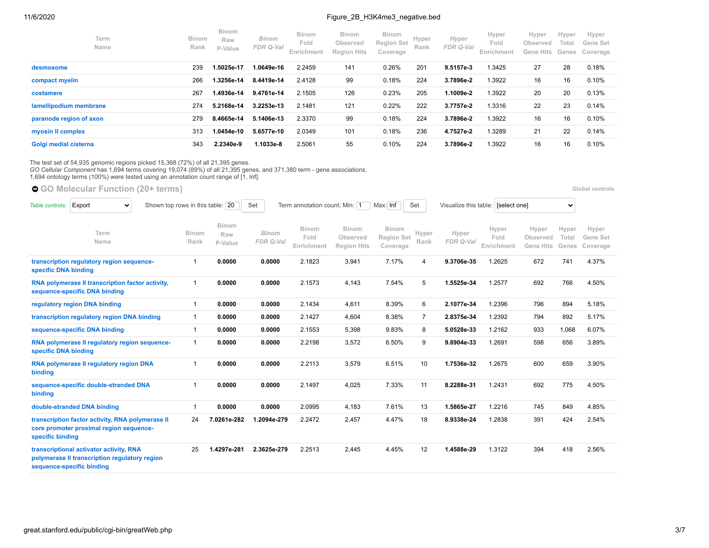| Term<br>Name            | <b>Binom</b><br>Rank | <b>Binom</b><br>Raw<br>P-Value | <b>Binom</b><br>FDR Q-Val | <b>Binom</b><br>Fold<br>Enrichment | <b>Binom</b><br>Observed<br><b>Region Hits</b> | <b>Binom</b><br><b>Region Set</b><br>Coverage | Hyper<br>Rank | Hyper<br>FDR Q-Val | Hyper<br>Fold<br>Enrichment | Hyper<br>Observed<br>Gene<br>Hits | Hyper<br>Total<br>Genes | Hyper<br>Gene Set<br>Coverage |
|-------------------------|----------------------|--------------------------------|---------------------------|------------------------------------|------------------------------------------------|-----------------------------------------------|---------------|--------------------|-----------------------------|-----------------------------------|-------------------------|-------------------------------|
| desmosome               | 239                  | 5025e-17.                      | 1.0649e-16                | 2.2459                             | 141                                            | 0.26%                                         | 201           | 9.5157e-3          | 1.3425                      | 27                                | 28                      | 0.18%                         |
| compact myelin          | 266                  | .3256e-14                      | 8.4419e-14                | 2.4128                             | 99                                             | 0.18%                                         | 224           | 3.7896e-2          | 1.3922                      | 16                                | 16                      | 0.10%                         |
| costamere               | 267                  | -4936e-14.                     | 9.4761e-14                | 2.1505                             | 126                                            | 0.23%                                         | 205           | 1.1009e-2          | 1.3922                      | 20                                | 20                      | 0.13%                         |
| lamellipodium membrane  | 274                  | 5.2168e-14                     | 3.2253e-13                | 2.1481                             | 121                                            | 0.22%                                         | 222           | 3.7757e-2          | 1.3316                      | 22                                | 23                      | 0.14%                         |
| paranode region of axon | 279                  | 8.4665e-14                     | 5.1406e-13                | 2.3370                             | 99                                             | 0.18%                                         | 224           | 3.7896e-2          | 1.3922                      | 16                                | 16                      | 0.10%                         |
| myosin II complex       | 313                  | 0454e-10.                      | 5.6577e-10                | 2.0349                             | 101                                            | 0.18%                                         | 236           | 4.7527e-2          | 1.3289                      | 21                                | 22                      | 0.14%                         |
| Golgi medial cisterna   | 343                  | 2.2340e-9                      | 1.1033e-8                 | 2.5061                             | 55                                             | 0.10%                                         | 224           | 3.7896e-2          | 1.3922                      | 16                                | 16                      | 0.10%                         |

The test set of 54,935 genomic regions picked 15,368 (72%) of all 21,395 genes.<br>*GO Cellular Component* has 1,694 terms covering 19,074 (89%) of all 21,395 genes, and 371,380 term - gene associations.<br>1,694 ontology terms

● [GO Molecular Function](https://great-help.atlassian.net/wiki/spaces/GREAT/Gene+Ontology) (20+ terms) **Blooman Controls and Controls and Controls Clobal controls <b>Global controls** 

| Table controls:      | Export<br>$\checkmark$                                                                                                |                      | Shown top rows in this table: 20 | Set                       | Term annotation count: Min: 1 |                                         | Max: Inf                                      | Set            | Visualize this table: [select one] |                             |                                       | $\checkmark$            |                               |
|----------------------|-----------------------------------------------------------------------------------------------------------------------|----------------------|----------------------------------|---------------------------|-------------------------------|-----------------------------------------|-----------------------------------------------|----------------|------------------------------------|-----------------------------|---------------------------------------|-------------------------|-------------------------------|
|                      | Term<br>Name                                                                                                          | <b>Binom</b><br>Rank | Binom<br>Raw<br>P-Value          | <b>Binom</b><br>FDR Q-Val | Binom<br>Fold<br>Enrichment   | Binom<br>Observed<br><b>Region Hits</b> | <b>Binom</b><br><b>Region Set</b><br>Coverage | Hyper<br>Rank  | Hyper<br>FDR Q-Val                 | Hyper<br>Fold<br>Enrichment | Hyper<br>Observed<br><b>Gene Hits</b> | Hyper<br>Total<br>Genes | Hyper<br>Gene Set<br>Coverage |
| specific DNA binding | transcription regulatory region sequence-                                                                             |                      | 0.0000                           | 0.0000                    | 2.1823                        | 3,941                                   | 7.17%                                         | $\overline{4}$ | 9.3706e-35                         | 1.2625                      | 672                                   | 741                     | 4.37%                         |
|                      | RNA polymerase II transcription factor activity,<br>sequence-specific DNA binding                                     | $\mathbf 1$          | 0.0000                           | 0.0000                    | 2.1573                        | 4,143                                   | 7.54%                                         | 5              | 1.5525e-34                         | 1.2577                      | 692                                   | 766                     | 4.50%                         |
|                      | regulatory region DNA binding                                                                                         |                      | 0.0000                           | 0.0000                    | 2.1434                        | 4,611                                   | 8.39%                                         | 6              | 2.1077e-34                         | 1.2396                      | 796                                   | 894                     | 5.18%                         |
|                      | transcription regulatory region DNA binding                                                                           | $\mathbf 1$          | 0.0000                           | 0.0000                    | 2.1427                        | 4,604                                   | 8.38%                                         | $\overline{7}$ | 2.8375e-34                         | 1.2392                      | 794                                   | 892                     | 5.17%                         |
|                      | sequence-specific DNA binding                                                                                         | $\mathbf 1$          | 0.0000                           | 0.0000                    | 2.1553                        | 5,398                                   | 9.83%                                         | 8              | 5.0528e-33                         | 1.2162                      | 933                                   | 1,068                   | 6.07%                         |
| specific DNA binding | RNA polymerase II regulatory region sequence-                                                                         | $\mathbf{1}$         | 0.0000                           | 0.0000                    | 2.2198                        | 3,572                                   | 6.50%                                         | 9              | 9.8904e-33                         | 1.2691                      | 598                                   | 656                     | 3.89%                         |
| binding              | RNA polymerase II regulatory region DNA                                                                               |                      | 0.0000                           | 0.0000                    | 2.2113                        | 3,579                                   | 6.51%                                         | 10             | 1.7536e-32                         | 1.2675                      | 600                                   | 659                     | 3.90%                         |
| binding              | sequence-specific double-stranded DNA                                                                                 |                      | 0.0000                           | 0.0000                    | 2.1497                        | 4,025                                   | 7.33%                                         | 11             | 8.2288e-31                         | 1.2431                      | 692                                   | 775                     | 4.50%                         |
|                      | double-stranded DNA binding                                                                                           |                      | 0.0000                           | 0.0000                    | 2.0995                        | 4,183                                   | 7.61%                                         | 13             | 1.5865e-27                         | 1.2216                      | 745                                   | 849                     | 4.85%                         |
| specific binding     | transcription factor activity, RNA polymerase II<br>core promoter proximal region sequence-                           | 24                   | 7.0261e-282                      | 1.2094e-279               | 2.2472                        | 2,457                                   | 4.47%                                         | 18             | 8.9338e-24                         | 1.2838                      | 391                                   | 424                     | 2.54%                         |
|                      | transcriptional activator activity, RNA<br>polymerase II transcription regulatory region<br>sequence-specific binding | 25                   | 1.4297e-281                      | 2.3625e-279               | 2.2513                        | 2.445                                   | 4.45%                                         | 12             | 1.4588e-29                         | 1.3122                      | 394                                   | 418                     | 2.56%                         |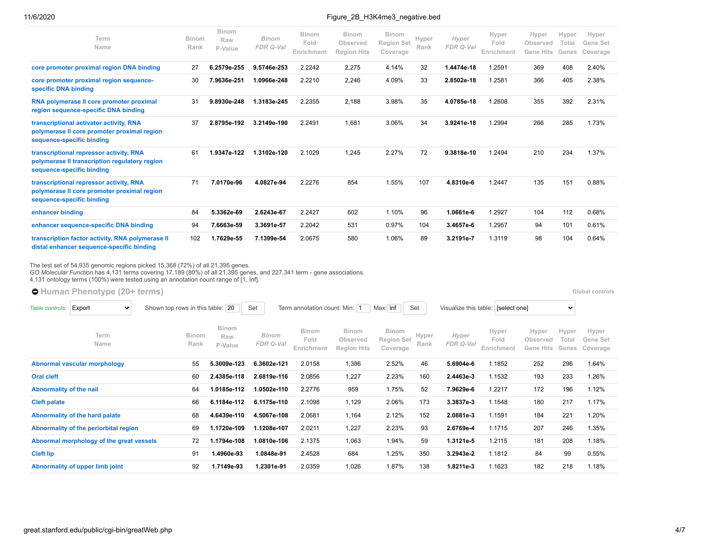| Term<br>Name                                                                                                          | <b>Binom</b><br>Rank | <b>Binom</b><br>Raw<br>P-Value | <b>Binom</b><br>FDR Q-Val | <b>Binom</b><br>Fold<br>Enrichment | <b>Binom</b><br>Observed<br><b>Region Hits</b> | <b>Binom</b><br><b>Region Set</b><br>Coverage | Hyper<br>Rank | Hyper<br>FDR Q-Val | Hyper<br>Fold<br>Enrichment | Hyper<br>Observed<br><b>Gene Hits</b> | Hyper<br>Total<br>Genes | Hyper<br>Gene Set<br>Coverage |
|-----------------------------------------------------------------------------------------------------------------------|----------------------|--------------------------------|---------------------------|------------------------------------|------------------------------------------------|-----------------------------------------------|---------------|--------------------|-----------------------------|---------------------------------------|-------------------------|-------------------------------|
| core promoter proximal region DNA binding                                                                             | 27                   | 6.2579e-255                    | 9.5746e-253               | 2.2242                             | 2,275                                          | 4.14%                                         | 32            | 1.4474e-18         | 1.2591                      | 369                                   | 408                     | 2.40%                         |
| core promoter proximal region sequence-<br>specific DNA binding                                                       | 30                   | 7.9636e-251                    | 1.0966e-248               | 2.2210                             | 2,246                                          | 4.09%                                         | 33            | 2.8502e-18         | 1.2581                      | 366                                   | 405                     | 2.38%                         |
| RNA polymerase II core promoter proximal<br>region sequence-specific DNA binding                                      | 31                   | 9.8930e-248                    | 1.3183e-245               | 2.2355                             | 2,188                                          | 3.98%                                         | 35            | 4.0785e-18         | 1.2608                      | 355                                   | 392                     | 2.31%                         |
| transcriptional activator activity, RNA<br>polymerase II core promoter proximal region<br>sequence-specific binding   | 37                   | 2.8795e-192                    | 3.2149e-190               | 2.2491                             | 1,681                                          | 3.06%                                         | 34            | 3.9241e-18         | 1.2994                      | 266                                   | 285                     | 1.73%                         |
| transcriptional repressor activity, RNA<br>polymerase II transcription regulatory region<br>sequence-specific binding | 61                   | 1.9347e-122                    | 1.3102e-120               | 2.1029                             | 1.245                                          | 2.27%                                         | 72            | 9.3818e-10         | 1.2494                      | 210                                   | 234                     | 1.37%                         |
| transcriptional repressor activity, RNA<br>polymerase II core promoter proximal region<br>sequence-specific binding   | 71                   | 7.0170e-96                     | 4.0827e-94                | 2.2276                             | 854                                            | 1.55%                                         | 107           | 4.8310e-6          | 1.2447                      | 135                                   | 151                     | 0.88%                         |
| enhancer binding                                                                                                      | 84                   | 5.3362e-69                     | 2.6243e-67                | 2.2427                             | 602                                            | 1.10%                                         | 96            | 1.0661e-6          | 1.2927                      | 104                                   | 112                     | 0.68%                         |
| enhancer sequence-specific DNA binding                                                                                | 94                   | 7.6663e-59                     | 3.3691e-57                | 2.2042                             | 531                                            | 0.97%                                         | 104           | 3.4657e-6          | 1.2957                      | 94                                    | 101                     | 0.61%                         |
| transcription factor activity, RNA polymerase II<br>distal enhancer sequence-specific binding                         | 102                  | 1.7629e-55                     | 7.1399e-54                | 2.0675                             | 580                                            | 1.06%                                         | 89            | 3.2191e-7          | 1.3119                      | 98                                    | 104                     | 0.64%                         |

The test set of 54,935 genomic regions picked 15,368 (72%) of all 21,395 genes.<br>*GO Molecular Function* has 4,131 terms covering 17,189 (80%) of all 21,395 genes, and 227,341 term - gene associations.<br>4,131 ontology terms

| <b>O</b> Human Phenotype (20+ terms)<br>Global controls |                               |                                |                           |                                    |                                                |                                        |               |                    |                                    |                                |                         |                               |  |
|---------------------------------------------------------|-------------------------------|--------------------------------|---------------------------|------------------------------------|------------------------------------------------|----------------------------------------|---------------|--------------------|------------------------------------|--------------------------------|-------------------------|-------------------------------|--|
| Export<br>$\checkmark$<br>Table controls:               | Shown top rows in this table: | 20                             | Set                       | Term annotation count: Min: 1      |                                                | Max: Inf                               | Set           |                    | Visualize this table: [select one] |                                | $\checkmark$            |                               |  |
| Term<br>Name                                            | Binom<br>Rank                 | <b>Binom</b><br>Raw<br>P-Value | <b>Binom</b><br>FDR Q-Val | <b>Binom</b><br>Fold<br>Enrichment | <b>Binom</b><br>Observed<br><b>Region Hits</b> | Binom<br><b>Region Set</b><br>Coverage | Hyper<br>Rank | Hyper<br>FDR Q-Val | Hyper<br>Fold<br>Enrichment        | Hyper<br>Observed<br>Gene Hits | Hyper<br>Total<br>Genes | Hyper<br>Gene Set<br>Coverage |  |
| Abnormal vascular morphology                            | 55                            | 5.3009e-123                    | 6.3602e-121               | 2.0158                             | 1,386                                          | 2.52%                                  | 46            | 5.6904e-6          | 1.1852                             | 252                            | 296                     | 1.64%                         |  |
| <b>Oral cleft</b>                                       | 60                            | 2.4385e-118                    | 2.6819e-116               | 2.0856                             | 1,227                                          | 2.23%                                  | 160           | 2.4463e-3          | 1.1532                             | 193                            | 233                     | 1.26%                         |  |
| Abnormality of the nail                                 | 64                            | 1.0185e-112                    | 1.0502e-110               | 2.2776                             | 959                                            | 1.75%                                  | 52            | 7.9629e-6          | 1.2217                             | 172                            | 196                     | 1.12%                         |  |
| <b>Cleft palate</b>                                     | 66                            | 6.1184e-112                    | 6.1175e-110               | 2.1098                             | 1,129                                          | 2.06%                                  | 173           | 3.3837e-3          | 1.1548                             | 180                            | 217                     | 1.17%                         |  |
| Abnormality of the hard palate                          | 68                            | 4.6439e-110                    | 4.5067e-108               | 2.0681                             | 1,164                                          | 2.12%                                  | 152           | 2.0881e-3          | 1.1591                             | 184                            | 221                     | 1.20%                         |  |
| Abnormality of the periorbital region                   | 69                            | 1.1720e-109                    | 1.1208e-107               | 2.0211                             | 1,227                                          | 2.23%                                  | 93            | 2.6769e-4          | 1.1715                             | 207                            | 246                     | 1.35%                         |  |
| Abnormal morphology of the great vessels                | 72                            | 1.1794e-108                    | 1.0810e-106               | 2.1375                             | 1,063                                          | 1.94%                                  | 59            | 1.3121e-5          | 1.2115                             | 181                            | 208                     | 1.18%                         |  |
| <b>Cleft lip</b>                                        | 91                            | 1.4960e-93                     | 1.0848e-91                | 2.4528                             | 684                                            | 1.25%                                  | 350           | 3.2943e-2          | 1.1812                             | 84                             | 99                      | 0.55%                         |  |
| Abnormality of upper limb joint                         | 92                            | 1.7149e-93                     | 1.2301e-91                | 2.0359                             | 1,026                                          | 1.87%                                  | 138           | 1.8211e-3          | 1.1623                             | 182                            | 218                     | 1.18%                         |  |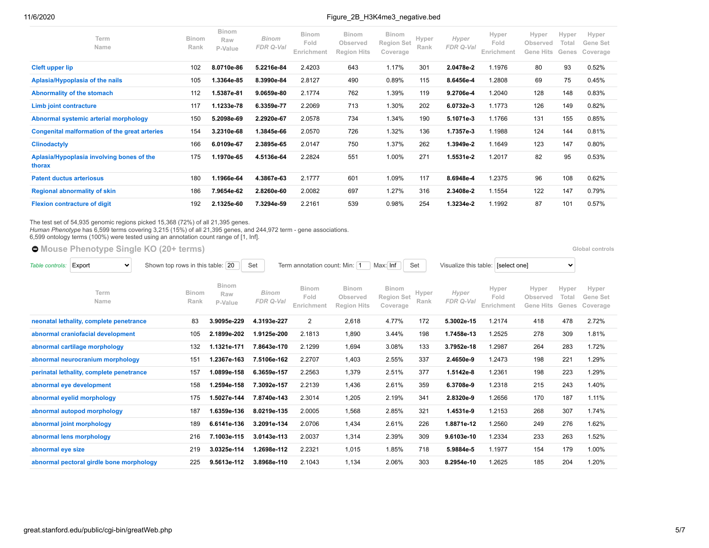| Term<br>Name                                         | <b>Binom</b><br>Rank | <b>Binom</b><br>Raw<br>P-Value | <b>Binom</b><br>FDR Q-Val | <b>Binom</b><br>Fold<br>Enrichment | <b>Binom</b><br>Observed<br><b>Region Hits</b> | <b>Binom</b><br><b>Region Set</b><br>Coverage | Hyper<br>Rank | Hyper<br>FDR Q-Val | Hyper<br>Fold<br>Enrichment | Hyper<br>Observed<br>Gene Hits | Hyper<br>Total<br>Genes | Hyper<br>Gene Set<br>Coverage |
|------------------------------------------------------|----------------------|--------------------------------|---------------------------|------------------------------------|------------------------------------------------|-----------------------------------------------|---------------|--------------------|-----------------------------|--------------------------------|-------------------------|-------------------------------|
| <b>Cleft upper lip</b>                               | 102                  | 8.0710e-86                     | 5.2216e-84                | 2.4203                             | 643                                            | 1.17%                                         | 301           | 2.0478e-2          | 1.1976                      | 80                             | 93                      | 0.52%                         |
| Aplasia/Hypoplasia of the nails                      | 105                  | 1.3364e-85                     | 8.3990e-84                | 2.8127                             | 490                                            | 0.89%                                         | 115           | 8.6456e-4          | 1.2808                      | 69                             | 75                      | 0.45%                         |
| Abnormality of the stomach                           | 112                  | 1.5387e-81                     | 9.0659e-80                | 2.1774                             | 762                                            | 1.39%                                         | 119           | 9.2706e-4          | 1.2040                      | 128                            | 148                     | 0.83%                         |
| Limb joint contracture                               | 117                  | 1.1233e-78                     | 6.3359e-77                | 2.2069                             | 713                                            | 1.30%                                         | 202           | 6.0732e-3          | 1.1773                      | 126                            | 149                     | 0.82%                         |
| Abnormal systemic arterial morphology                | 150                  | 5.2098e-69                     | 2.2920e-67                | 2.0578                             | 734                                            | 1.34%                                         | 190           | 5.1071e-3          | 1.1766                      | 131                            | 155                     | 0.85%                         |
| <b>Congenital malformation of the great arteries</b> | 154                  | 3.2310e-68                     | 1.3845e-66                | 2.0570                             | 726                                            | 1.32%                                         | 136           | 1.7357e-3          | 1.1988                      | 124                            | 144                     | 0.81%                         |
| <b>Clinodactyly</b>                                  | 166                  | 6.0109e-67                     | 2.3895e-65                | 2.0147                             | 750                                            | 1.37%                                         | 262           | 1.3949e-2          | 1.1649                      | 123                            | 147                     | 0.80%                         |
| Aplasia/Hypoplasia involving bones of the<br>thorax  | 175                  | 1.1970e-65                     | 4.5136e-64                | 2.2824                             | 551                                            | 1.00%                                         | 271           | 1.5531e-2          | 1.2017                      | 82                             | 95                      | 0.53%                         |
| <b>Patent ductus arteriosus</b>                      | 180                  | 1.1966e-64                     | 4.3867e-63                | 2.1777                             | 601                                            | 1.09%                                         | 117           | 8.6948e-4          | 1.2375                      | 96                             | 108                     | 0.62%                         |
| <b>Regional abnormality of skin</b>                  | 186                  | 7.9654e-62                     | 2.8260e-60                | 2.0082                             | 697                                            | 1.27%                                         | 316           | 2.3408e-2          | 1.1554                      | 122                            | 147                     | 0.79%                         |
| <b>Flexion contracture of digit</b>                  | 192                  | 2.1325e-60                     | 7.3294e-59                | 2.2161                             | 539                                            | 0.98%                                         | 254           | 1.3234e-2          | 1.1992                      | 87                             | 101                     | 0.57%                         |

The test set of 54,935 genomic regions picked 15,368 (72%) of all 21,395 genes.<br>*Human Phenotype* has 6,599 terms covering 3,215 (15%) of all 21,395 genes, and 244,972 term - gene associations.<br>6,599 ontology terms (100%)

**[Mouse Phenotype Single KO](https://great-help.atlassian.net/wiki/spaces/GREAT/Mouse+Phenotype+Single+KO) (20+ terms) [Global controls](http://great.stanford.edu/public/cgi-bin/greatWeb.php#global_controls_header)** 

| Table controls:   | Export<br>$\checkmark$                   | Shown top rows in this table: | 20                      | Set                       | Term annotation count: Min: 1      |                                                | Max: Inf                                      | Set           | Visualize this table: [select one] |                             |                                | $\checkmark$            |                               |
|-------------------|------------------------------------------|-------------------------------|-------------------------|---------------------------|------------------------------------|------------------------------------------------|-----------------------------------------------|---------------|------------------------------------|-----------------------------|--------------------------------|-------------------------|-------------------------------|
|                   | Term<br>Name                             | <b>Binom</b><br>Rank          | Binom<br>Raw<br>P-Value | <b>Binom</b><br>FDR Q-Val | <b>Binom</b><br>Fold<br>Enrichment | <b>Binom</b><br>Observed<br><b>Region Hits</b> | <b>Binom</b><br><b>Region Set</b><br>Coverage | Hyper<br>Rank | Hyper<br>FDR Q-Val                 | Hyper<br>Fold<br>Enrichment | Hyper<br>Observed<br>Gene Hits | Hyper<br>Total<br>Genes | Hyper<br>Gene Set<br>Coverage |
|                   | neonatal lethality, complete penetrance  | 83                            | 3.9095e-229             | 4.3193e-227               | 2                                  | 2,618                                          | 4.77%                                         | 172           | 5.3002e-15                         | 1.2174                      | 418                            | 478                     | 2.72%                         |
|                   | abnormal craniofacial development        | 105                           | 2.1899e-202             | 1.9125e-200               | 2.1813                             | 1,890                                          | 3.44%                                         | 198           | 1.7458e-13                         | 1.2525                      | 278                            | 309                     | 1.81%                         |
|                   | abnormal cartilage morphology            | 132                           | 1.1321e-171             | 7.8643e-170               | 2.1299                             | 1,694                                          | 3.08%                                         | 133           | 3.7952e-18                         | 1.2987                      | 264                            | 283                     | 1.72%                         |
|                   | abnormal neurocranium morphology         | 151                           | 1.2367e-163             | 7.5106e-162               | 2.2707                             | 1,403                                          | 2.55%                                         | 337           | 2.4650e-9                          | 1.2473                      | 198                            | 221                     | 1.29%                         |
|                   | perinatal lethality, complete penetrance | 157                           | 1.0899e-158             | 6.3659e-157               | 2.2563                             | 1,379                                          | 2.51%                                         | 377           | 1.5142e-8                          | 1.2361                      | 198                            | 223                     | 1.29%                         |
|                   | abnormal eye development                 | 158                           | 1.2594e-158             | 7.3092e-157               | 2.2139                             | 1,436                                          | 2.61%                                         | 359           | 6.3708e-9                          | 1.2318                      | 215                            | 243                     | 1.40%                         |
|                   | abnormal eyelid morphology               | 175                           | 1.5027e-144             | 7.8740e-143               | 2.3014                             | 1,205                                          | 2.19%                                         | 341           | 2.8320e-9                          | 1.2656                      | 170                            | 187                     | 1.11%                         |
|                   | abnormal autopod morphology              | 187                           | 1.6359e-136             | 8.0219e-135               | 2.0005                             | 1,568                                          | 2.85%                                         | 321           | 1.4531e-9                          | 1.2153                      | 268                            | 307                     | 1.74%                         |
|                   | abnormal joint morphology                | 189                           | 6.6141e-136             | 3.2091e-134               | 2.0706                             | 1,434                                          | 2.61%                                         | 226           | 1.8871e-12                         | 1.2560                      | 249                            | 276                     | 1.62%                         |
|                   | abnormal lens morphology                 | 216                           | 7.1003e-115             | 3.0143e-113               | 2.0037                             | 1,314                                          | 2.39%                                         | 309           | 9.6103e-10                         | 1.2334                      | 233                            | 263                     | 1.52%                         |
| abnormal eye size |                                          | 219                           | 3.0325e-114             | 1.2698e-112               | 2.2321                             | 1,015                                          | 1.85%                                         | 718           | 5.9884e-5                          | 1.1977                      | 154                            | 179                     | 1.00%                         |
|                   | abnormal pectoral girdle bone morphology | 225                           | 9.5613e-112             | 3.8968e-110               | 2.1043                             | 1,134                                          | 2.06%                                         | 303           | 8.2954e-10                         | 1.2625                      | 185                            | 204                     | 1.20%                         |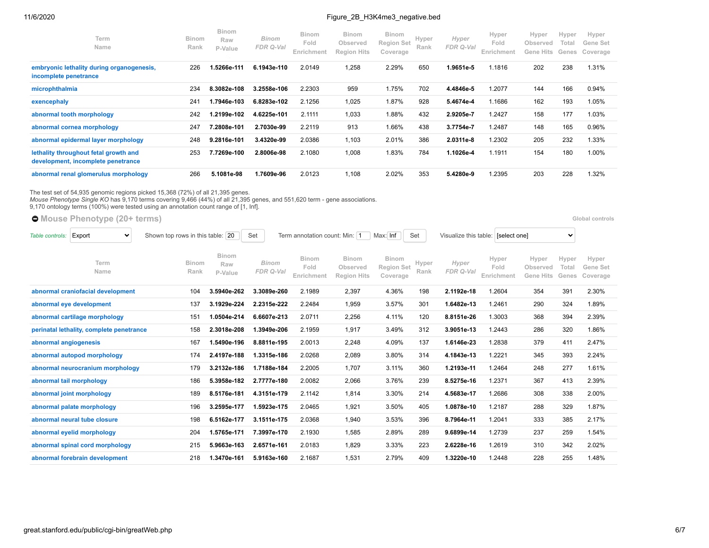| Term<br>Name                                                                | <b>Binom</b><br>Rank | <b>Binom</b><br>Raw<br>P-Value | <b>Binom</b><br>FDR Q-Val | <b>Binom</b><br>Fold<br>Enrichment | <b>Binom</b><br>Observed<br><b>Region Hits</b> | <b>Binom</b><br><b>Region Set</b><br>Coverage | Hyper<br>Rank | Hyper<br>FDR Q-Val | Hyper<br>Fold<br>Enrichment | Hyper<br>Observed<br>Gene Hits | Hyper<br>Total<br>Genes | Hyper<br>Gene Set<br>Coverage |
|-----------------------------------------------------------------------------|----------------------|--------------------------------|---------------------------|------------------------------------|------------------------------------------------|-----------------------------------------------|---------------|--------------------|-----------------------------|--------------------------------|-------------------------|-------------------------------|
| embryonic lethality during organogenesis,<br>incomplete penetrance          | 226                  | 1.5266e-111                    | 6.1943e-110               | 2.0149                             | 1,258                                          | 2.29%                                         | 650           | 1.9651e-5          | 1.1816                      | 202                            | 238                     | 1.31%                         |
| microphthalmia                                                              | 234                  | 8.3082e-108                    | 3.2558e-106               | 2.2303                             | 959                                            | 1.75%                                         | 702           | 4.4846e-5          | 1.2077                      | 144                            | 166                     | 0.94%                         |
| exencephaly                                                                 | 241                  | 1.7946e-103                    | 6.8283e-102               | 2.1256                             | 1,025                                          | 1.87%                                         | 928           | 5.4674e-4          | 1.1686                      | 162                            | 193                     | 1.05%                         |
| abnormal tooth morphology                                                   | 242                  | 1.2199e-102                    | 4.6225e-101               | 2.1111                             | 1,033                                          | 1.88%                                         | 432           | 2.9205e-7          | 1.2427                      | 158                            | 177                     | 1.03%                         |
| abnormal cornea morphology                                                  | 247                  | 7.2808e-101                    | 2.7030e-99                | 2.2119                             | 913                                            | 1.66%                                         | 438           | 3.7754e-7          | 1.2487                      | 148                            | 165                     | 0.96%                         |
| abnormal epidermal layer morphology                                         | 248                  | 9.2816e-101                    | 3.4320e-99                | 2.0386                             | 1,103                                          | 2.01%                                         | 386           | 2.0311e-8          | 1.2302                      | 205                            | 232                     | 1.33%                         |
| lethality throughout fetal growth and<br>development, incomplete penetrance | 253                  | 7.7269e-100                    | 2.8006e-98                | 2.1080                             | 1,008                                          | 1.83%                                         | 784           | 1.1026e-4          | 1.1911                      | 154                            | 180                     | 1.00%                         |
| abnormal renal glomerulus morphology                                        | 266                  | 5.1081e-98                     | 1.7609e-96                | 2.0123                             | 1,108                                          | 2.02%                                         | 353           | 5.4280e-9          | 1.2395                      | 203                            | 228                     | 1.32%                         |

The test set of 54,935 genomic regions picked 15,368 (72%) of all 21,395 genes.<br>*Mouse Phenotype Single KO* has 9,170 terms covering 9,466 (44%) of all 21,395 genes, and 551,620 term - gene associations.<br>9,170 ontology ter

**[Mouse Phenotype](https://great-help.atlassian.net/wiki/spaces/GREAT/Mouse+Phenotype) (20+ terms) [Global controls](http://great.stanford.edu/public/cgi-bin/greatWeb.php#global_controls_header)** 

| Table controls:       | Export<br>$\checkmark$                   | Shown top rows in this table: | 20                             | Set                | Term annotation count: Min: 1      |                                                | Max: Inf                               | Set           |                    | Visualize this table: [select one] |                                       | $\checkmark$            |                               |
|-----------------------|------------------------------------------|-------------------------------|--------------------------------|--------------------|------------------------------------|------------------------------------------------|----------------------------------------|---------------|--------------------|------------------------------------|---------------------------------------|-------------------------|-------------------------------|
|                       | Term<br>Name                             | <b>Binom</b><br>Rank          | <b>Binom</b><br>Raw<br>P-Value | Binom<br>FDR Q-Val | <b>Binom</b><br>Fold<br>Enrichment | <b>Binom</b><br>Observed<br><b>Region Hits</b> | Binom<br><b>Region Set</b><br>Coverage | Hyper<br>Rank | Hyper<br>FDR Q-Val | Hyper<br>Fold<br>Enrichment        | Hyper<br>Observed<br><b>Gene Hits</b> | Hyper<br>Total<br>Genes | Hyper<br>Gene Set<br>Coverage |
|                       | abnormal craniofacial development        | 104                           | 3.5940e-262                    | 3.3089e-260        | 2.1989                             | 2,397                                          | 4.36%                                  | 198           | 2.1192e-18         | 1.2604                             | 354                                   | 391                     | 2.30%                         |
|                       | abnormal eye development                 | 137                           | 3.1929e-224                    | 2.2315e-222        | 2.2484                             | 1,959                                          | 3.57%                                  | 301           | 1.6482e-13         | 1.2461                             | 290                                   | 324                     | 1.89%                         |
|                       | abnormal cartilage morphology            | 151                           | 1.0504e-214                    | 6.6607e-213        | 2.0711                             | 2,256                                          | 4.11%                                  | 120           | 8.8151e-26         | 1.3003                             | 368                                   | 394                     | 2.39%                         |
|                       | perinatal lethality, complete penetrance | 158                           | 2.3018e-208                    | 1.3949e-206        | 2.1959                             | 1,917                                          | 3.49%                                  | 312           | 3.9051e-13         | 1.2443                             | 286                                   | 320                     | 1.86%                         |
| abnormal angiogenesis |                                          | 167                           | 1.5490e-196                    | 8.8811e-195        | 2.0013                             | 2,248                                          | 4.09%                                  | 137           | 1.6146e-23         | 1.2838                             | 379                                   | 411                     | 2.47%                         |
|                       | abnormal autopod morphology              | 174                           | 2.4197e-188                    | 1.3315e-186        | 2.0268                             | 2,089                                          | 3.80%                                  | 314           | 4.1843e-13         | 1.2221                             | 345                                   | 393                     | 2.24%                         |
|                       | abnormal neurocranium morphology         | 179                           | 3.2132e-186                    | 1.7188e-184        | 2.2005                             | 1,707                                          | 3.11%                                  | 360           | 1.2193e-11         | 1.2464                             | 248                                   | 277                     | 1.61%                         |
|                       | abnormal tail morphology                 | 186                           | 5.3958e-182                    | 2.7777e-180        | 2.0082                             | 2,066                                          | 3.76%                                  | 239           | 8.5275e-16         | 1.2371                             | 367                                   | 413                     | 2.39%                         |
|                       | abnormal joint morphology                | 189                           | 8.5176e-181                    | 4.3151e-179        | 2.1142                             | 1,814                                          | 3.30%                                  | 214           | 4.5683e-17         | 1.2686                             | 308                                   | 338                     | 2.00%                         |
|                       | abnormal palate morphology               | 196                           | 3.2595e-177                    | 1.5923e-175        | 2.0465                             | 1,921                                          | 3.50%                                  | 405           | 1.0878e-10         | 1.2187                             | 288                                   | 329                     | 1.87%                         |
|                       | abnormal neural tube closure             | 198                           | 6.5162e-177                    | 3.1511e-175        | 2.0368                             | 1,940                                          | 3.53%                                  | 396           | 8.7964e-11         | 1.2041                             | 333                                   | 385                     | 2.17%                         |
|                       | abnormal eyelid morphology               | 204                           | 1.5765e-171                    | 7.3997e-170        | 2.1930                             | 1,585                                          | 2.89%                                  | 289           | 9.6899e-14         | 1.2739                             | 237                                   | 259                     | 1.54%                         |
|                       | abnormal spinal cord morphology          | 215                           | 5.9663e-163                    | 2.6571e-161        | 2.0183                             | 1,829                                          | 3.33%                                  | 223           | 2.6228e-16         | 1.2619                             | 310                                   | 342                     | 2.02%                         |
|                       | abnormal forebrain development           | 218                           | 1.3470e-161                    | 5.9163e-160        | 2.1687                             | 1,531                                          | 2.79%                                  | 409           | 1.3220e-10         | 1.2448                             | 228                                   | 255                     | 1.48%                         |